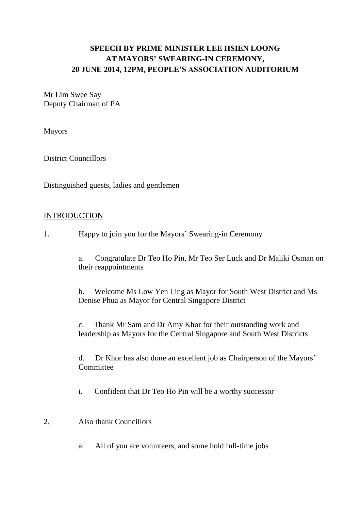# **SPEECH BY PRIME MINISTER LEE HSIEN LOONG AT MAYORS' SWEARING-IN CEREMONY, 20 JUNE 2014, 12PM, PEOPLE'S ASSOCIATION AUDITORIUM**

Mr Lim Swee Say Deputy Chairman of PA

Mayors

District Councillors

Distinguished guests, ladies and gentlemen

## INTRODUCTION

1. Happy to join you for the Mayors' Swearing-in Ceremony

a. Congratulate Dr Teo Ho Pin, Mr Teo Ser Luck and Dr Maliki Osman on their reappointments

b. Welcome Ms Low Yen Ling as Mayor for South West District and Ms Denise Phua as Mayor for Central Singapore District

c. Thank Mr Sam and Dr Amy Khor for their outstanding work and leadership as Mayors for the Central Singapore and South West Districts

d. Dr Khor has also done an excellent job as Chairperson of the Mayors' **Committee** 

i. Confident that Dr Teo Ho Pin will be a worthy successor

## 2. Also thank Councillors

a. All of you are volunteers, and some hold full-time jobs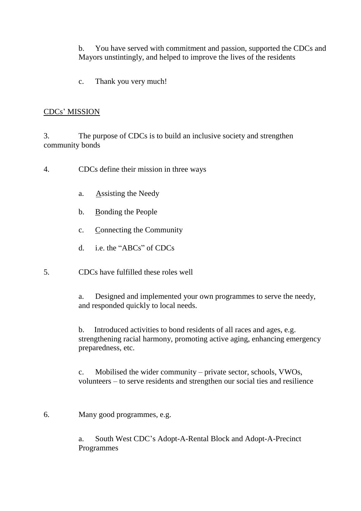b. You have served with commitment and passion, supported the CDCs and Mayors unstintingly, and helped to improve the lives of the residents

c. Thank you very much!

## CDCs' MISSION

3. The purpose of CDCs is to build an inclusive society and strengthen community bonds

- 4. CDCs define their mission in three ways
	- a. Assisting the Needy
	- b. Bonding the People
	- c. Connecting the Community
	- d. i.e. the "ABCs" of CDCs
- 5. CDCs have fulfilled these roles well

a. Designed and implemented your own programmes to serve the needy, and responded quickly to local needs.

b. Introduced activities to bond residents of all races and ages, e.g. strengthening racial harmony, promoting active aging, enhancing emergency preparedness, etc.

c. Mobilised the wider community – private sector, schools, VWOs, volunteers – to serve residents and strengthen our social ties and resilience

6. Many good programmes, e.g.

a. South West CDC's Adopt-A-Rental Block and Adopt-A-Precinct Programmes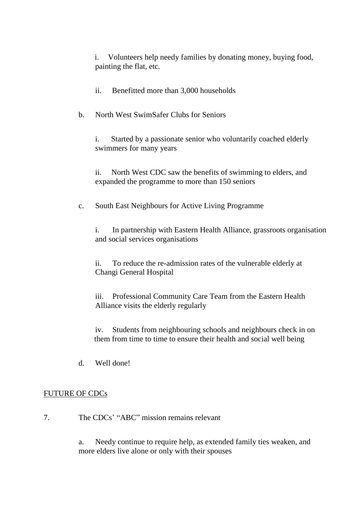i. Volunteers help needy families by donating money, buying food, painting the flat, etc.

ii. Benefitted more than 3,000 households

b. North West SwimSafer Clubs for Seniors

i. Started by a passionate senior who voluntarily coached elderly swimmers for many years

ii. North West CDC saw the benefits of swimming to elders, and expanded the programme to more than 150 seniors

c. South East Neighbours for Active Living Programme

i. In partnership with Eastern Health Alliance, grassroots organisation and social services organisations

ii. To reduce the re-admission rates of the vulnerable elderly at Changi General Hospital

iii. Professional Community Care Team from the Eastern Health Alliance visits the elderly regularly

iv. Students from neighbouring schools and neighbours check in on them from time to time to ensure their health and social well being

d. Well done!

## FUTURE OF CDCs

7. The CDCs' "ABC" mission remains relevant

a. Needy continue to require help, as extended family ties weaken, and more elders live alone or only with their spouses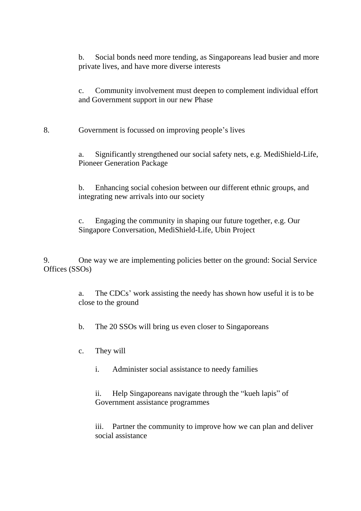b. Social bonds need more tending, as Singaporeans lead busier and more private lives, and have more diverse interests

c. Community involvement must deepen to complement individual effort and Government support in our new Phase

8. Government is focussed on improving people's lives

a. Significantly strengthened our social safety nets, e.g. MediShield-Life, Pioneer Generation Package

b. Enhancing social cohesion between our different ethnic groups, and integrating new arrivals into our society

c. Engaging the community in shaping our future together, e.g. Our Singapore Conversation, MediShield-Life, Ubin Project

9. One way we are implementing policies better on the ground: Social Service Offices (SSOs)

> a. The CDCs' work assisting the needy has shown how useful it is to be close to the ground

b. The 20 SSOs will bring us even closer to Singaporeans

- c. They will
	- i. Administer social assistance to needy families

ii. Help Singaporeans navigate through the "kueh lapis" of Government assistance programmes

iii. Partner the community to improve how we can plan and deliver social assistance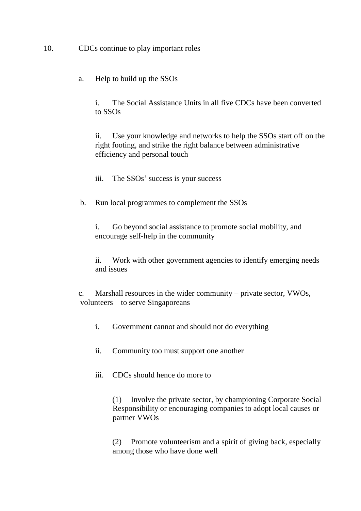10. CDCs continue to play important roles

a. Help to build up the SSOs

i. The Social Assistance Units in all five CDCs have been converted to SSOs

ii. Use your knowledge and networks to help the SSOs start off on the right footing, and strike the right balance between administrative efficiency and personal touch

iii. The SSOs' success is your success

b. Run local programmes to complement the SSOs

i. Go beyond social assistance to promote social mobility, and encourage self-help in the community

ii. Work with other government agencies to identify emerging needs and issues

c. Marshall resources in the wider community – private sector, VWOs, volunteers – to serve Singaporeans

- i. Government cannot and should not do everything
- ii. Community too must support one another
- iii. CDCs should hence do more to

(1) Involve the private sector, by championing Corporate Social Responsibility or encouraging companies to adopt local causes or partner VWOs

(2) Promote volunteerism and a spirit of giving back, especially among those who have done well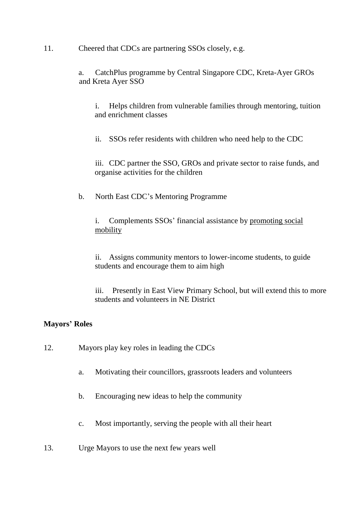11. Cheered that CDCs are partnering SSOs closely, e.g.

a. CatchPlus programme by Central Singapore CDC, Kreta-Ayer GROs and Kreta Ayer SSO

i. Helps children from vulnerable families through mentoring, tuition and enrichment classes

ii. SSOs refer residents with children who need help to the CDC

iii. CDC partner the SSO, GROs and private sector to raise funds, and organise activities for the children

b. North East CDC's Mentoring Programme

i. Complements SSOs' financial assistance by promoting social mobility

ii. Assigns community mentors to lower-income students, to guide students and encourage them to aim high

iii. Presently in East View Primary School, but will extend this to more students and volunteers in NE District

## **Mayors' Roles**

- 12. Mayors play key roles in leading the CDCs
	- a. Motivating their councillors, grassroots leaders and volunteers
	- b. Encouraging new ideas to help the community
	- c. Most importantly, serving the people with all their heart
- 13. Urge Mayors to use the next few years well